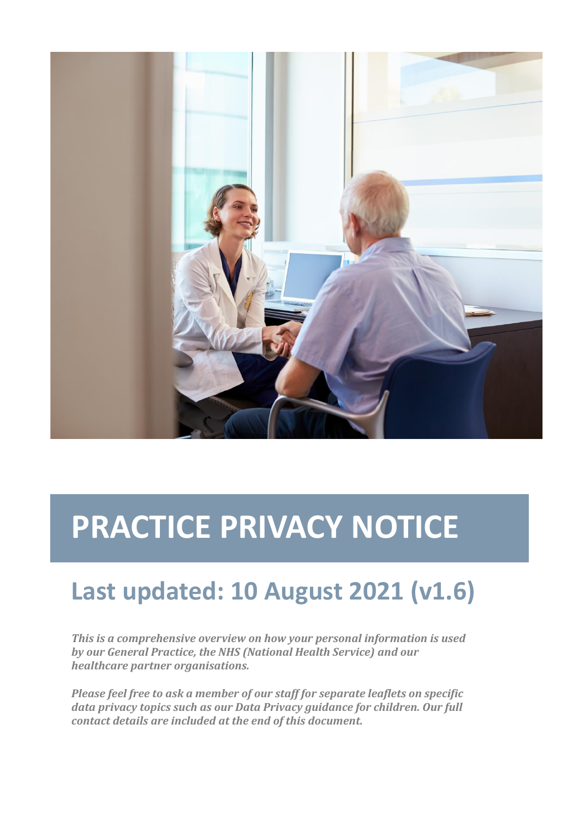

# **PRACTICE PRIVACY NOTICE**

# **Last updated: 10 August 2021 (v1.6)**

*This is a comprehensive overview on how your personal information is used by our General Practice, the NHS (National Health Service) and our healthcare partner organisations.*

*Please feel free to ask a member of our staff for separate leaflets on specific data privacy topics such as our Data Privacy guidance for children. Our full contact details are included at the end of this document.*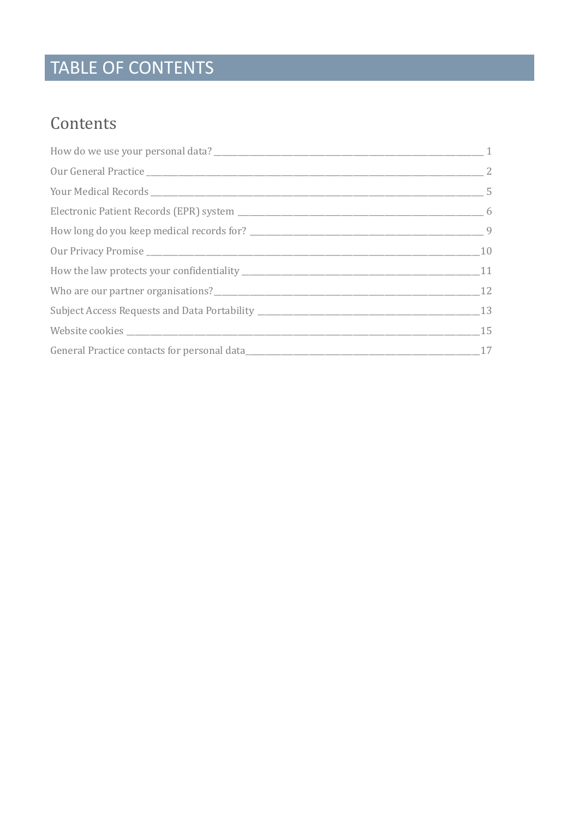## TABLE OF CONTENTS

### Contents

| Who are our partner organisations?<br>12 |  |  |
|------------------------------------------|--|--|
|                                          |  |  |
|                                          |  |  |
|                                          |  |  |
|                                          |  |  |
|                                          |  |  |
|                                          |  |  |
|                                          |  |  |
|                                          |  |  |
|                                          |  |  |
|                                          |  |  |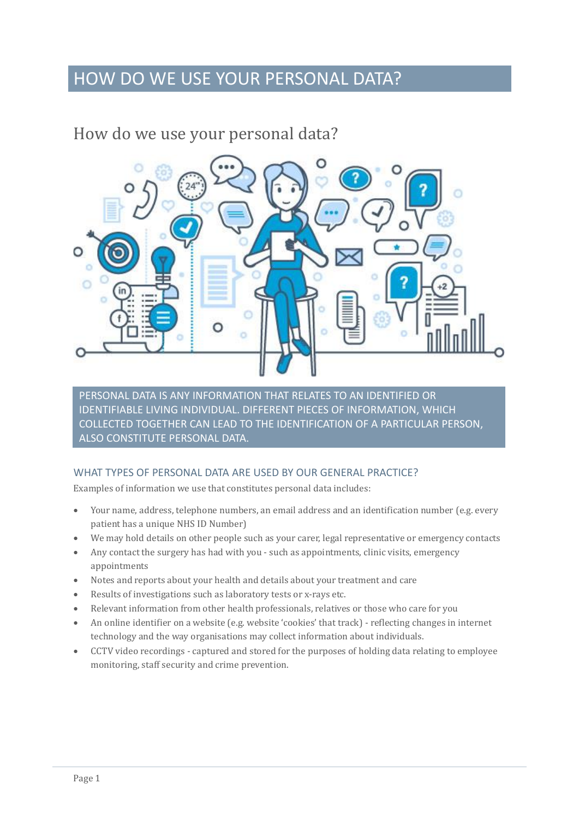### HOW DO WE USE YOUR PERSONAL DATA?

### <span id="page-2-0"></span>How do we use your personal data?



PERSONAL DATA IS ANY INFORMATION THAT RELATES TO AN IDENTIFIED OR IDENTIFIABLE LIVING INDIVIDUAL. DIFFERENT PIECES OF INFORMATION, WHICH COLLECTED TOGETHER CAN LEAD TO THE IDENTIFICATION OF A PARTICULAR PERSON, ALSO CONSTITUTE PERSONAL DATA.

#### WHAT TYPES OF PERSONAL DATA ARE USED BY OUR GENERAL PRACTICE?

Examples of information we use that constitutes personal data includes:

- Your name, address, telephone numbers, an email address and an identification number (e.g. every patient has a unique NHS ID Number)
- We may hold details on other people such as your carer, legal representative or emergency contacts
- Any contact the surgery has had with you such as appointments, clinic visits, emergency appointments
- Notes and reports about your health and details about your treatment and care
- Results of investigations such as laboratory tests or x-rays etc.
- Relevant information from other health professionals, relatives or those who care for you
- An online identifier on a website (e.g. website 'cookies' that track) reflecting changes in internet technology and the way organisations may collect information about individuals.
- CCTV video recordings captured and stored for the purposes of holding data relating to employee monitoring, staff security and crime prevention.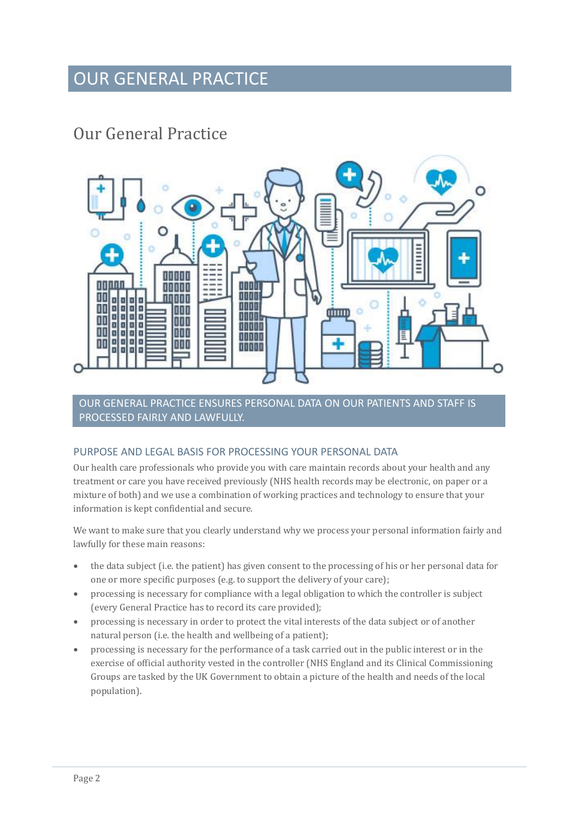### OUR GENERAL PRACTICE

### <span id="page-3-0"></span>Our General Practice



OUR GENERAL PRACTICE ENSURES PERSONAL DATA ON OUR PATIENTS AND STAFF IS PROCESSED FAIRLY AND LAWFULLY.

#### PURPOSE AND LEGAL BASIS FOR PROCESSING YOUR PERSONAL DATA

Our health care professionals who provide you with care maintain records about your health and any treatment or care you have received previously (NHS health records may be electronic, on paper or a mixture of both) and we use a combination of working practices and technology to ensure that your information is kept confidential and secure.

We want to make sure that you clearly understand why we process your personal information fairly and lawfully for these main reasons:

- the data subject (i.e. the patient) has given consent to the processing of his or her personal data for one or more specific purposes (e.g. to support the delivery of your care);
- processing is necessary for compliance with a legal obligation to which the controller is subject (every General Practice has to record its care provided);
- processing is necessary in order to protect the vital interests of the data subject or of another natural person (i.e. the health and wellbeing of a patient);
- processing is necessary for the performance of a task carried out in the public interest or in the exercise of official authority vested in the controller (NHS England and its Clinical Commissioning Groups are tasked by the UK Government to obtain a picture of the health and needs of the local population).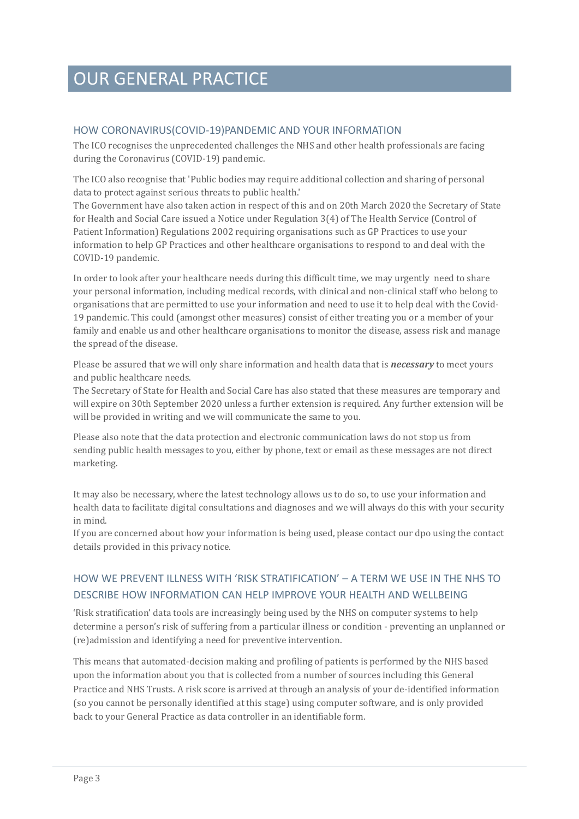### OUR GENERAL PRACTICE

#### HOW CORONAVIRUS(COVID-19)PANDEMIC AND YOUR INFORMATION

The ICO recognises the unprecedented challenges the NHS and other health professionals are facing during the Coronavirus (COVID-19) pandemic.

The ICO also recognise that 'Public bodies may require additional collection and sharing of personal data to protect against serious threats to public health.'

The Government have also taken action in respect of this and on 20th March 2020 the Secretary of State for Health and Social Care issued a Notice under Regulation 3(4) of The Health Service (Control of Patient Information) Regulations 2002 requiring organisations such as GP Practices to use your information to help GP Practices and other healthcare organisations to respond to and deal with the COVID-19 pandemic.

In order to look after your healthcare needs during this difficult time, we may urgently need to share your personal information, including medical records, with clinical and non-clinical staff who belong to organisations that are permitted to use your information and need to use it to help deal with the Covid-19 pandemic. This could (amongst other measures) consist of either treating you or a member of your family and enable us and other healthcare organisations to monitor the disease, assess risk and manage the spread of the disease.

Please be assured that we will only share information and health data that is *necessary* to meet yours and public healthcare needs.

The Secretary of State for Health and Social Care has also stated that these measures are temporary and will expire on 30th September 2020 unless a further extension is required. Any further extension will be will be provided in writing and we will communicate the same to you.

Please also note that the data protection and electronic communication laws do not stop us from sending public health messages to you, either by phone, text or email as these messages are not direct marketing.

It may also be necessary, where the latest technology allows us to do so, to use your information and health data to facilitate digital consultations and diagnoses and we will always do this with your security in mind.

If you are concerned about how your information is being used, please contact our dpo using the contact details provided in this privacy notice.

#### HOW WE PREVENT ILLNESS WITH 'RISK STRATIFICATION' – A TERM WE USE IN THE NHS TO DESCRIBE HOW INFORMATION CAN HELP IMPROVE YOUR HEALTH AND WELLBEING

'Risk stratification' data tools are increasingly being used by the NHS on computer systems to help determine a person's risk of suffering from a particular illness or condition - preventing an unplanned or (re)admission and identifying a need for preventive intervention.

This means that automated-decision making and profiling of patients is performed by the NHS based upon the information about you that is collected from a number of sources including this General Practice and NHS Trusts. A risk score is arrived at through an analysis of your de-identified information (so you cannot be personally identified at this stage) using computer software, and is only provided back to your General Practice as data controller in an identifiable form.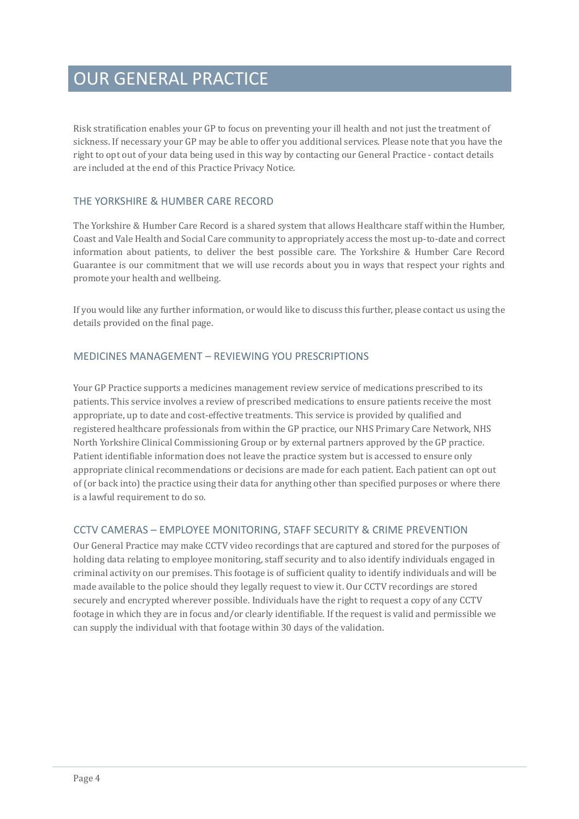### OUR GENERAL PRACTICE

Risk stratification enables your GP to focus on preventing your ill health and not just the treatment of sickness. If necessary your GP may be able to offer you additional services. Please note that you have the right to opt out of your data being used in this way by contacting our General Practice - contact details are included at the end of this Practice Privacy Notice.

#### THE YORKSHIRE & HUMBER CARE RECORD

The Yorkshire & Humber Care Record is a shared system that allows Healthcare staff within the Humber, Coast and Vale Health and Social Care community to appropriately access the most up-to-date and correct information about patients, to deliver the best possible care. The Yorkshire & Humber Care Record Guarantee is our commitment that we will use records about you in ways that respect your rights and promote your health and wellbeing.

If you would like any further information, or would like to discuss this further, please contact us using the details provided on the final page.

#### MEDICINES MANAGEMENT – REVIEWING YOU PRESCRIPTIONS

Your GP Practice supports a medicines management review service of medications prescribed to its patients. This service involves a review of prescribed medications to ensure patients receive the most appropriate, up to date and cost-effective treatments. This service is provided by qualified and registered healthcare professionals from within the GP practice, our NHS Primary Care Network, NHS North Yorkshire Clinical Commissioning Group or by external partners approved by the GP practice. Patient identifiable information does not leave the practice system but is accessed to ensure only appropriate clinical recommendations or decisions are made for each patient. Each patient can opt out of (or back into) the practice using their data for anything other than specified purposes or where there is a lawful requirement to do so.

#### CCTV CAMERAS – EMPLOYEE MONITORING, STAFF SECURITY & CRIME PREVENTION

Our General Practice may make CCTV video recordings that are captured and stored for the purposes of holding data relating to employee monitoring, staff security and to also identify individuals engaged in criminal activity on our premises. This footage is of sufficient quality to identify individuals and will be made available to the police should they legally request to view it. Our CCTV recordings are stored securely and encrypted wherever possible. Individuals have the right to request a copy of any CCTV footage in which they are in focus and/or clearly identifiable. If the request is valid and permissible we can supply the individual with that footage within 30 days of the validation.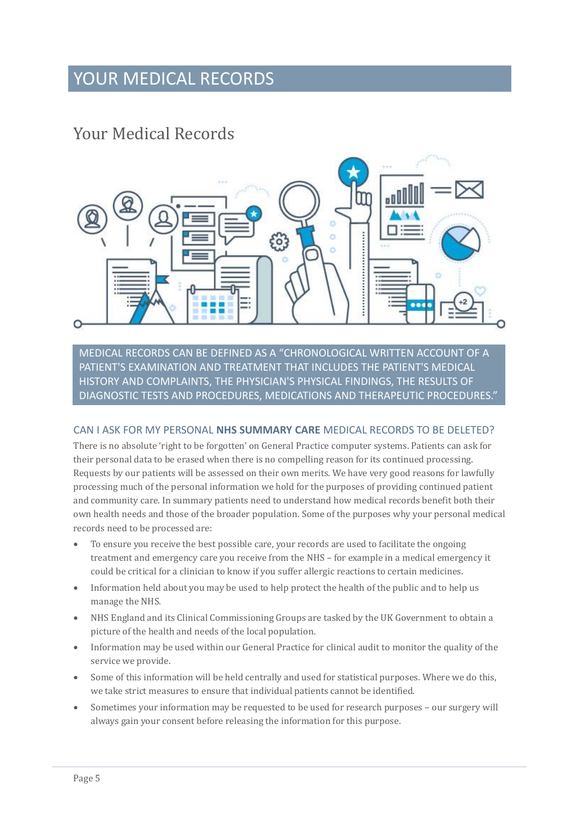### YOUR MEDICAL RECORDS

### <span id="page-6-0"></span>Your Medical Records



MEDICAL RECORDS CAN BE DEFINED AS A "CHRONOLOGICAL WRITTEN ACCOUNT OF A PATIENT'S EXAMINATION AND TREATMENT THAT INCLUDES THE PATIENT'S MEDICAL HISTORY AND COMPLAINTS, THE PHYSICIAN'S PHYSICAL FINDINGS, THE RESULTS OF DIAGNOSTIC TESTS AND PROCEDURES, MEDICATIONS AND THERAPEUTIC PROCEDURES."

#### CAN I ASK FOR MY PERSONAL **NHS SUMMARY CARE** MEDICAL RECORDS TO BE DELETED?

There is no absolute 'right to be forgotten' on General Practice computer systems. Patients can ask for their personal data to be erased when there is no compelling reason for its continued processing. Requests by our patients will be assessed on their own merits. We have very good reasons for lawfully processing much of the personal information we hold for the purposes of providing continued patient and community care. In summary patients need to understand how medical records benefit both their own health needs and those of the broader population. Some of the purposes why your personal medical records need to be processed are:

- To ensure you receive the best possible care, your records are used to facilitate the ongoing treatment and emergency care you receive from the NHS – for example in a medical emergency it could be critical for a clinician to know if you suffer allergic reactions to certain medicines.
- Information held about you may be used to help protect the health of the public and to help us manage the NHS.
- NHS England and its Clinical Commissioning Groups are tasked by the UK Government to obtain a picture of the health and needs of the local population.
- Information may be used within our General Practice for clinical audit to monitor the quality of the service we provide.
- Some of this information will be held centrally and used for statistical purposes. Where we do this, we take strict measures to ensure that individual patients cannot be identified.
- Sometimes your information may be requested to be used for research purposes our surgery will always gain your consent before releasing the information for this purpose.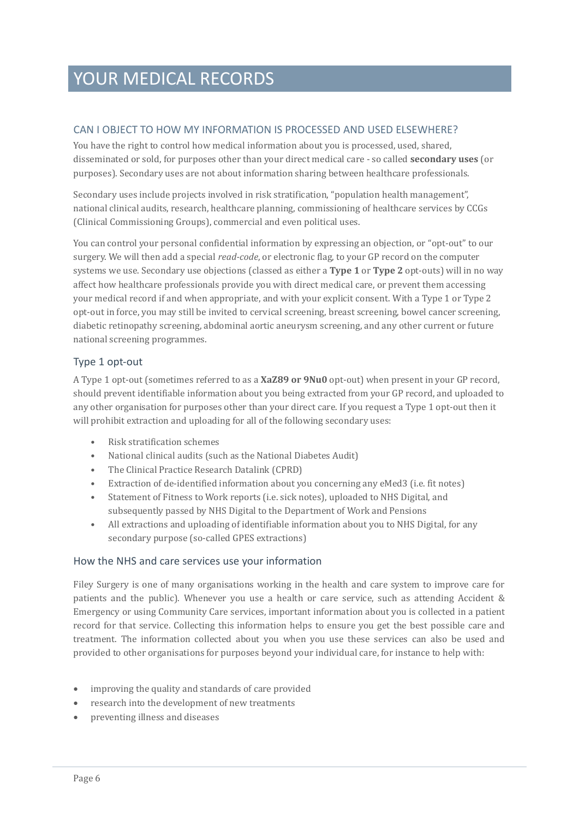### YOUR MEDICAL RECORDS

#### CAN I OBJECT TO HOW MY INFORMATION IS PROCESSED AND USED ELSEWHERE?

You have the right to control how medical information about you is processed, used, shared, disseminated or sold, for purposes other than your direct medical care - so called **secondary uses** (or purposes). Secondary uses are not about information sharing between healthcare professionals.

Secondary uses include projects involved in risk stratification, "population health management", national clinical audits, research, healthcare planning, commissioning of healthcare services by CCGs (Clinical Commissioning Groups), commercial and even political uses.

You can control your personal confidential information by expressing an objection, or "opt-out" to our surgery. We will then add a special *read-code*, or electronic flag, to your GP record on the computer systems we use. Secondary use objections (classed as either a **Type 1** or **Type 2** opt-outs) will in no way affect how healthcare professionals provide you with direct medical care, or prevent them accessing your medical record if and when appropriate, and with your explicit consent. With a Type 1 or Type 2 opt-out in force, you may still be invited to cervical screening, breast screening, bowel cancer screening, diabetic retinopathy screening, abdominal aortic aneurysm screening, and any other current or future national screening programmes.

#### Type 1 opt-out

A Type 1 opt-out (sometimes referred to as a **XaZ89 or 9Nu0** opt-out) when present in your GP record, should prevent identifiable information about you being extracted from your GP record, and uploaded to any other organisation for purposes other than your direct care. If you request a Type 1 opt-out then it will prohibit extraction and uploading for all of the following secondary uses:

- Risk stratification schemes
- National clinical audits (such as the National Diabetes Audit)
- The Clinical Practice Research Datalink (CPRD)
- Extraction of de-identified information about you concerning any eMed3 (i.e. fit notes)
- Statement of Fitness to Work reports (i.e. sick notes), uploaded to NHS Digital, and subsequently passed by NHS Digital to the Department of Work and Pensions
- All extractions and uploading of identifiable information about you to NHS Digital, for any secondary purpose (so-called GPES extractions)

#### <span id="page-7-0"></span>How the NHS and care services use your information

Filey Surgery is one of many organisations working in the health and care system to improve care for patients and the public). Whenever you use a health or care service, such as attending Accident & Emergency or using Community Care services, important information about you is collected in a patient record for that service. Collecting this information helps to ensure you get the best possible care and treatment. The information collected about you when you use these services can also be used and provided to other organisations for purposes beyond your individual care, for instance to help with:

- improving the quality and standards of care provided
- research into the development of new treatments
- preventing illness and diseases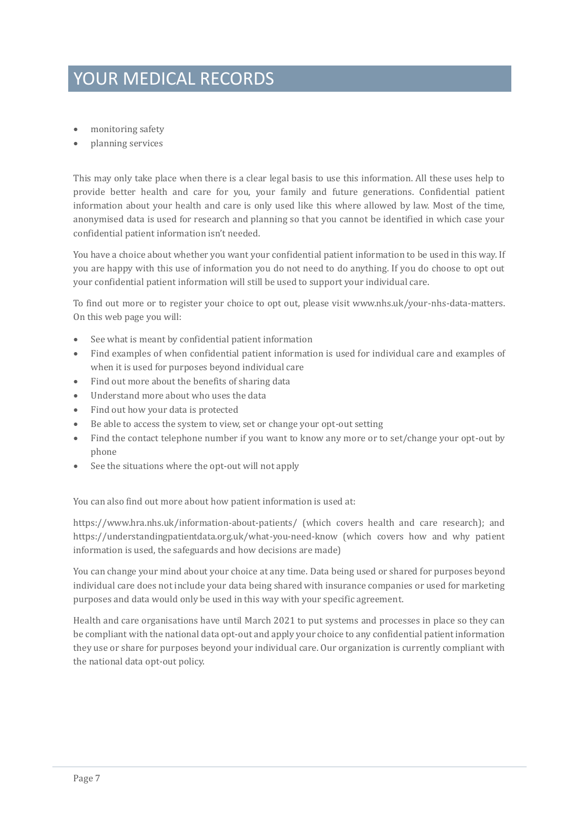### YOUR MEDICAL RECORDS

- monitoring safety
- planning services

This may only take place when there is a clear legal basis to use this information. All these uses help to provide better health and care for you, your family and future generations. Confidential patient information about your health and care is only used like this where allowed by law. Most of the time, anonymised data is used for research and planning so that you cannot be identified in which case your confidential patient information isn't needed.

You have a choice about whether you want your confidential patient information to be used in this way. If you are happy with this use of information you do not need to do anything. If you do choose to opt out your confidential patient information will still be used to support your individual care.

To find out more or to register your choice to opt out, please visit www.nhs.uk/your-nhs-data-matters. On this web page you will:

- See what is meant by confidential patient information
- Find examples of when confidential patient information is used for individual care and examples of when it is used for purposes beyond individual care
- Find out more about the benefits of sharing data
- Understand more about who uses the data
- Find out how your data is protected
- Be able to access the system to view, set or change your opt-out setting
- Find the contact telephone number if you want to know any more or to set/change your opt-out by phone
- See the situations where the opt-out will not apply

You can also find out more about how patient information is used at:

https://www.hra.nhs.uk/information-about-patients/ (which covers health and care research); and https://understandingpatientdata.org.uk/what-you-need-know (which covers how and why patient information is used, the safeguards and how decisions are made)

You can change your mind about your choice at any time. Data being used or shared for purposes beyond individual care does not include your data being shared with insurance companies or used for marketing purposes and data would only be used in this way with your specific agreement.

Health and care organisations have until March 2021 to put systems and processes in place so they can be compliant with the national data opt-out and apply your choice to any confidential patient information they use or share for purposes beyond your individual care. Our organization is currently compliant with the national data opt-out policy.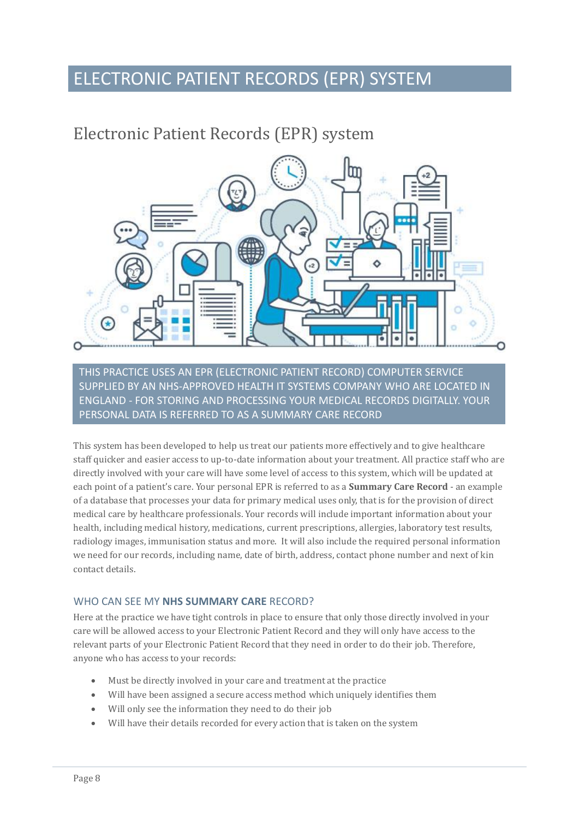### ELECTRONIC PATIENT RECORDS (EPR) SYSTEM

### Electronic Patient Records (EPR) system



THIS PRACTICE USES AN EPR (ELECTRONIC PATIENT RECORD) COMPUTER SERVICE SUPPLIED BY AN NHS-APPROVED HEALTH IT SYSTEMS COMPANY WHO ARE LOCATED IN ENGLAND - FOR STORING AND PROCESSING YOUR MEDICAL RECORDS DIGITALLY. YOUR PERSONAL DATA IS REFERRED TO AS A SUMMARY CARE RECORD

This system has been developed to help us treat our patients more effectively and to give healthcare staff quicker and easier access to up-to-date information about your treatment. All practice staff who are directly involved with your care will have some level of access to this system, which will be updated at each point of a patient's care. Your personal EPR is referred to as a **Summary Care Record** - an example of a database that processes your data for primary medical uses only, that is for the provision of direct medical care by healthcare professionals. Your records will include important information about your health, including medical history, medications, current prescriptions, allergies, laboratory test results, radiology images, immunisation status and more. It will also include the required personal information we need for our records, including name, date of birth, address, contact phone number and next of kin contact details.

#### WHO CAN SEE MY **NHS SUMMARY CARE** RECORD?

Here at the practice we have tight controls in place to ensure that only those directly involved in your care will be allowed access to your Electronic Patient Record and they will only have access to the relevant parts of your Electronic Patient Record that they need in order to do their job. Therefore, anyone who has access to your records:

- Must be directly involved in your care and treatment at the practice
- Will have been assigned a secure access method which uniquely identifies them
- Will only see the information they need to do their job
- Will have their details recorded for every action that is taken on the system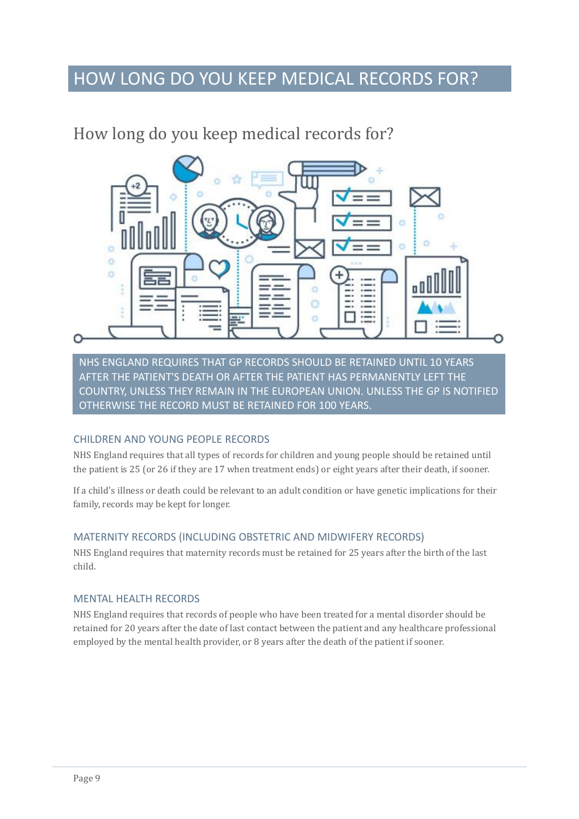### HOW LONG DO YOU KEEP MEDICAL RECORDS FOR?

### <span id="page-10-0"></span>How long do you keep medical records for?



NHS ENGLAND REQUIRES THAT GP RECORDS SHOULD BE RETAINED UNTIL 10 YEARS AFTER THE PATIENT'S DEATH OR AFTER THE PATIENT HAS PERMANENTLY LEFT THE COUNTRY, UNLESS THEY REMAIN IN THE EUROPEAN UNION. UNLESS THE GP IS NOTIFIED OTHERWISE THE RECORD MUST BE RETAINED FOR 100 YEARS.

#### CHILDREN AND YOUNG PEOPLE RECORDS

NHS England requires that all types of records for children and young people should be retained until the patient is 25 (or 26 if they are 17 when treatment ends) or eight years after their death, if sooner.

If a child's illness or death could be relevant to an adult condition or have genetic implications for their family, records may be kept for longer.

#### MATERNITY RECORDS (INCLUDING OBSTETRIC AND MIDWIFERY RECORDS)

NHS England requires that maternity records must be retained for 25 years after the birth of the last child.

#### MENTAL HEALTH RECORDS

NHS England requires that records of people who have been treated for a mental disorder should be retained for 20 years after the date of last contact between the patient and any healthcare professional employed by the mental health provider, or 8 years after the death of the patient if sooner.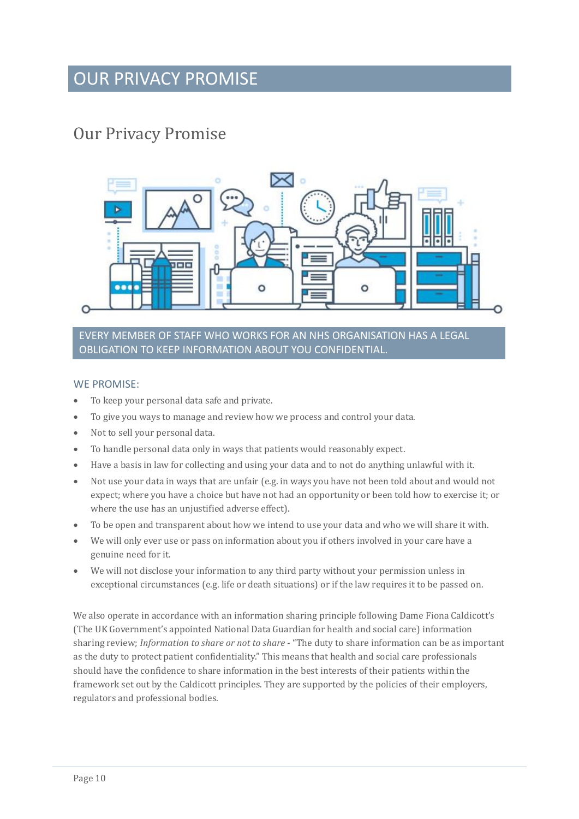### OUR PRIVACY PROMISE

### <span id="page-11-0"></span>Our Privacy Promise



#### EVERY MEMBER OF STAFF WHO WORKS FOR AN NHS ORGANISATION HAS A LEGAL OBLIGATION TO KEEP INFORMATION ABOUT YOU CONFIDENTIAL.

#### WE PROMISE:

- To keep your personal data safe and private.
- To give you ways to manage and review how we process and control your data.
- Not to sell your personal data.
- To handle personal data only in ways that patients would reasonably expect.
- Have a basis in law for collecting and using your data and to not do anything unlawful with it.
- Not use your data in ways that are unfair (e.g. in ways you have not been told about and would not expect; where you have a choice but have not had an opportunity or been told how to exercise it; or where the use has an unjustified adverse effect).
- To be open and transparent about how we intend to use your data and who we will share it with.
- We will only ever use or pass on information about you if others involved in your care have a genuine need for it.
- We will not disclose your information to any third party without your permission unless in exceptional circumstances (e.g. life or death situations) or if the law requires it to be passed on.

We also operate in accordance with an information sharing principle following Dame Fiona Caldicott's (The UK Government's appointed National Data Guardian for health and social care) information sharing review; *Information to share or not to share* - "The duty to share information can be as important as the duty to protect patient confidentiality." This means that health and social care professionals should have the confidence to share information in the best interests of their patients within the framework set out by the Caldicott principles. They are supported by the policies of their employers, regulators and professional bodies.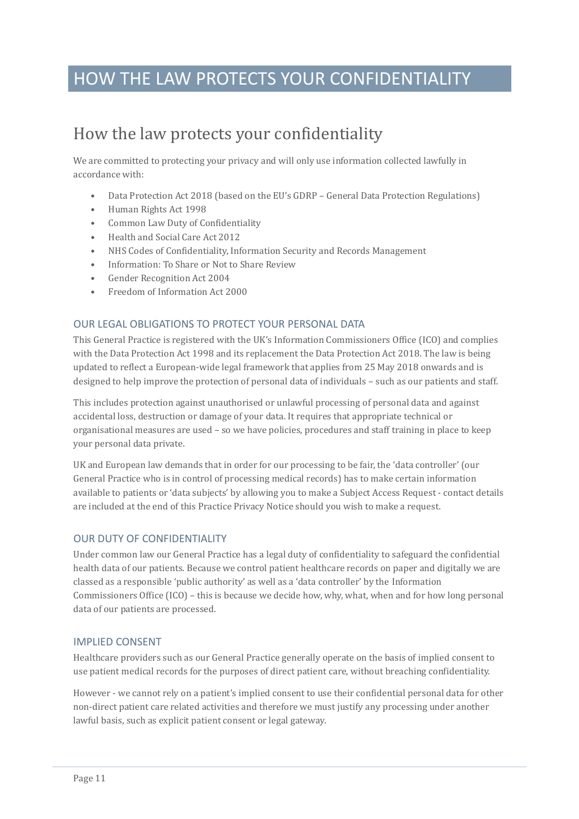### HOW THE LAW PROTECTS YOUR CONFIDENTIALITY

### <span id="page-12-0"></span>How the law protects your confidentiality

We are committed to protecting your privacy and will only use information collected lawfully in accordance with:

- Data Protection Act 2018 (based on the EU's GDRP General Data Protection Regulations)
- Human Rights Act 1998
- Common Law Duty of Confidentiality
- Health and Social Care Act 2012
- NHS Codes of Confidentiality, Information Security and Records Management
- Information: To Share or Not to Share Review
- Gender Recognition Act 2004
- Freedom of Information Act 2000

#### OUR LEGAL OBLIGATIONS TO PROTECT YOUR PERSONAL DATA

This General Practice is registered with the UK's Information Commissioners Office (ICO) and complies with the Data Protection Act 1998 and its replacement the Data Protection Act 2018. The law is being updated to reflect a European-wide legal framework that applies from 25 May 2018 onwards and is designed to help improve the protection of personal data of individuals – such as our patients and staff.

This includes protection against unauthorised or unlawful processing of personal data and against accidental loss, destruction or damage of your data. It requires that appropriate technical or organisational measures are used – so we have policies, procedures and staff training in place to keep your personal data private.

UK and European law demands that in order for our processing to be fair, the 'data controller' (our General Practice who is in control of processing medical records) has to make certain information available to patients or 'data subjects' by allowing you to make a Subject Access Request - contact details are included at the end of this Practice Privacy Notice should you wish to make a request.

#### OUR DUTY OF CONFIDENTIALITY

Under common law our General Practice has a legal duty of confidentiality to safeguard the confidential health data of our patients. Because we control patient healthcare records on paper and digitally we are classed as a responsible 'public authority' as well as a 'data controller' by the Information Commissioners Office (ICO) – this is because we decide how, why, what, when and for how long personal data of our patients are processed.

#### IMPLIED CONSENT

Healthcare providers such as our General Practice generally operate on the basis of implied consent to use patient medical records for the purposes of direct patient care, without breaching confidentiality.

However - we cannot rely on a patient's implied consent to use their confidential personal data for other non-direct patient care related activities and therefore we must justify any processing under another lawful basis, such as explicit patient consent or legal gateway.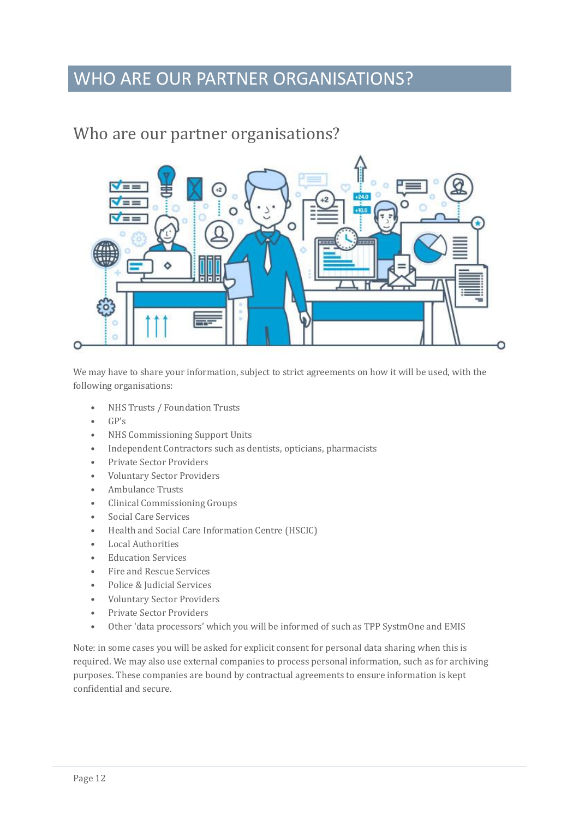### WHO ARE OUR PARTNER ORGANISATIONS?

### <span id="page-13-0"></span>Who are our partner organisations?



We may have to share your information, subject to strict agreements on how it will be used, with the following organisations:

- NHS Trusts / Foundation Trusts
- GP's
- NHS Commissioning Support Units
- Independent Contractors such as dentists, opticians, pharmacists
- Private Sector Providers
- Voluntary Sector Providers
- Ambulance Trusts
- Clinical Commissioning Groups
- Social Care Services
- Health and Social Care Information Centre (HSCIC)
- Local Authorities
- Education Services
- Fire and Rescue Services
- Police & Judicial Services
- Voluntary Sector Providers
- Private Sector Providers
- Other 'data processors' which you will be informed of such as TPP SystmOne and EMIS

Note: in some cases you will be asked for explicit consent for personal data sharing when this is required. We may also use external companies to process personal information, such as for archiving purposes. These companies are bound by contractual agreements to ensure information is kept confidential and secure.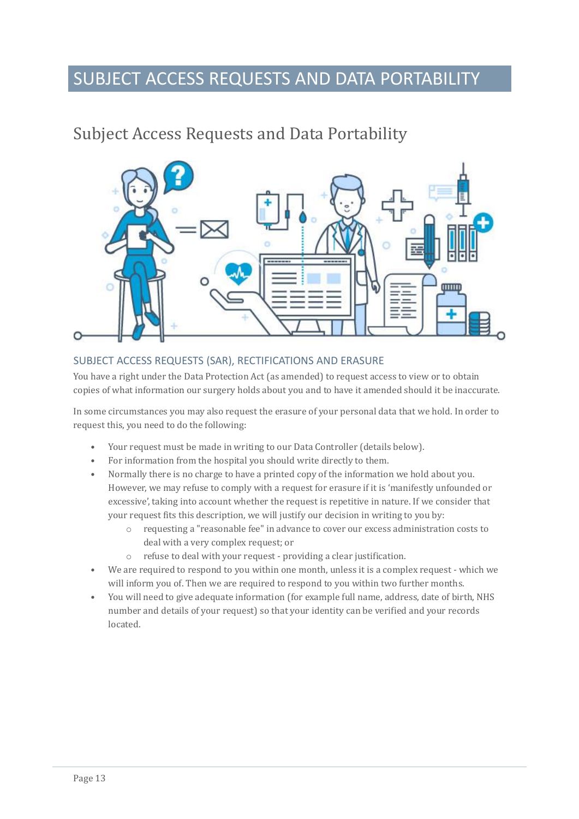### SUBJECT ACCESS REQUESTS AND DATA PORTABILITY

### <span id="page-14-0"></span>Subject Access Requests and Data Portability



#### SUBJECT ACCESS REQUESTS (SAR), RECTIFICATIONS AND ERASURE

You have a right under the Data Protection Act (as amended) to request access to view or to obtain copies of what information our surgery holds about you and to have it amended should it be inaccurate.

In some circumstances you may also request the erasure of your personal data that we hold. In order to request this, you need to do the following:

- Your request must be made in writing to our Data Controller (details below).
- For information from the hospital you should write directly to them.
- Normally there is no charge to have a printed copy of the information we hold about you. However, we may refuse to comply with a request for erasure if it is 'manifestly unfounded or excessive', taking into account whether the request is repetitive in nature. If we consider that your request fits this description, we will justify our decision in writing to you by:
	- o requesting a "reasonable fee" in advance to cover our excess administration costs to deal with a very complex request; or
	- o refuse to deal with your request providing a clear justification.
- We are required to respond to you within one month, unless it is a complex request which we will inform you of. Then we are required to respond to you within two further months.
- You will need to give adequate information (for example full name, address, date of birth, NHS number and details of your request) so that your identity can be verified and your records located.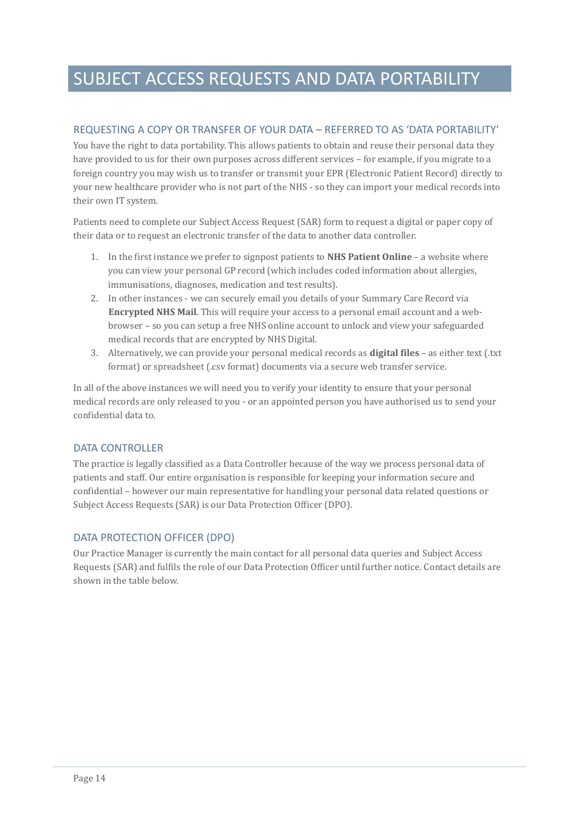### SUBJECT ACCESS REQUESTS AND DATA PORTABILITY

#### REQUESTING A COPY OR TRANSFER OF YOUR DATA – REFERRED TO AS 'DATA PORTABILITY'

You have the right to data portability. This allows patients to obtain and reuse their personal data they have provided to us for their own purposes across different services – for example, if you migrate to a foreign country you may wish us to transfer or transmit your EPR (Electronic Patient Record) directly to your new healthcare provider who is not part of the NHS - so they can import your medical records into their own IT system.

Patients need to complete our Subject Access Request (SAR) form to request a digital or paper copy of their data or to request an electronic transfer of the data to another data controller.

- 1. In the first instance we prefer to signpost patients to **NHS Patient Online** a website where you can view your personal GP record (which includes coded information about allergies, immunisations, diagnoses, medication and test results).
- 2. In other instances we can securely email you details of your Summary Care Record via **Encrypted NHS Mail**. This will require your access to a personal email account and a webbrowser – so you can setup a free NHS online account to unlock and view your safeguarded medical records that are encrypted by NHS Digital.
- 3. Alternatively, we can provide your personal medical records as **digital files**  as either text (.txt format) or spreadsheet (.csv format) documents via a secure web transfer service.

In all of the above instances we will need you to verify your identity to ensure that your personal medical records are only released to you - or an appointed person you have authorised us to send your confidential data to.

#### DATA CONTROLLER

The practice is legally classified as a Data Controller because of the way we process personal data of patients and staff. Our entire organisation is responsible for keeping your information secure and confidential – however our main representative for handling your personal data related questions or Subject Access Requests (SAR) is our Data Protection Officer (DPO).

#### DATA PROTECTION OFFICER (DPO)

Our Practice Manager is currently the main contact for all personal data queries and Subject Access Requests (SAR) and fulfils the role of our Data Protection Officer until further notice. Contact details are shown in the table below.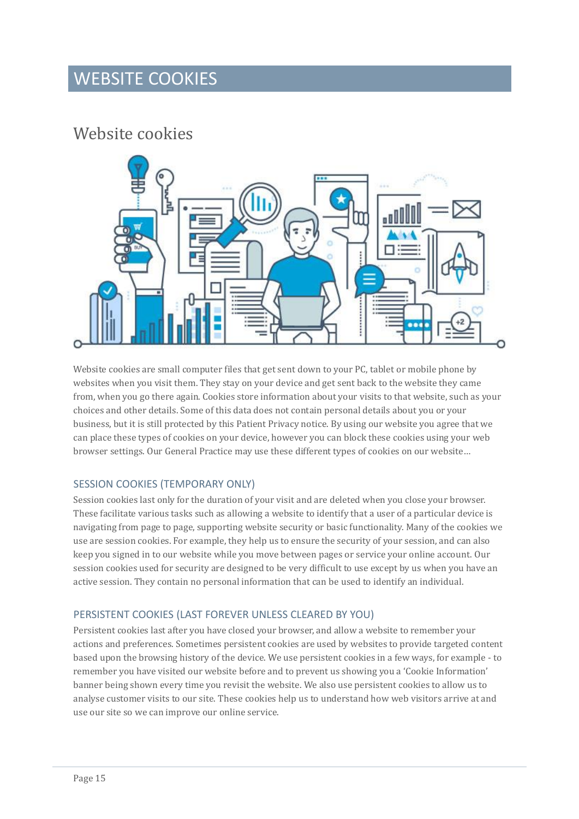### WEBSITE COOKIES

### <span id="page-16-0"></span>Website cookies



Website cookies are small computer files that get sent down to your PC, tablet or mobile phone by websites when you visit them. They stay on your device and get sent back to the website they came from, when you go there again. Cookies store information about your visits to that website, such as your choices and other details. Some of this data does not contain personal details about you or your business, but it is still protected by this Patient Privacy notice. By using our website you agree that we can place these types of cookies on your device, however you can block these cookies using your web browser settings. Our General Practice may use these different types of cookies on our website…

#### SESSION COOKIES (TEMPORARY ONLY)

Session cookies last only for the duration of your visit and are deleted when you close your browser. These facilitate various tasks such as allowing a website to identify that a user of a particular device is navigating from page to page, supporting website security or basic functionality. Many of the cookies we use are session cookies. For example, they help us to ensure the security of your session, and can also keep you signed in to our website while you move between pages or service your online account. Our session cookies used for security are designed to be very difficult to use except by us when you have an active session. They contain no personal information that can be used to identify an individual.

#### PERSISTENT COOKIES (LAST FOREVER UNLESS CLEARED BY YOU)

Persistent cookies last after you have closed your browser, and allow a website to remember your actions and preferences. Sometimes persistent cookies are used by websites to provide targeted content based upon the browsing history of the device. We use persistent cookies in a few ways, for example - to remember you have visited our website before and to prevent us showing you a 'Cookie Information' banner being shown every time you revisit the website. We also use persistent cookies to allow us to analyse customer visits to our site. These cookies help us to understand how web visitors arrive at and use our site so we can improve our online service.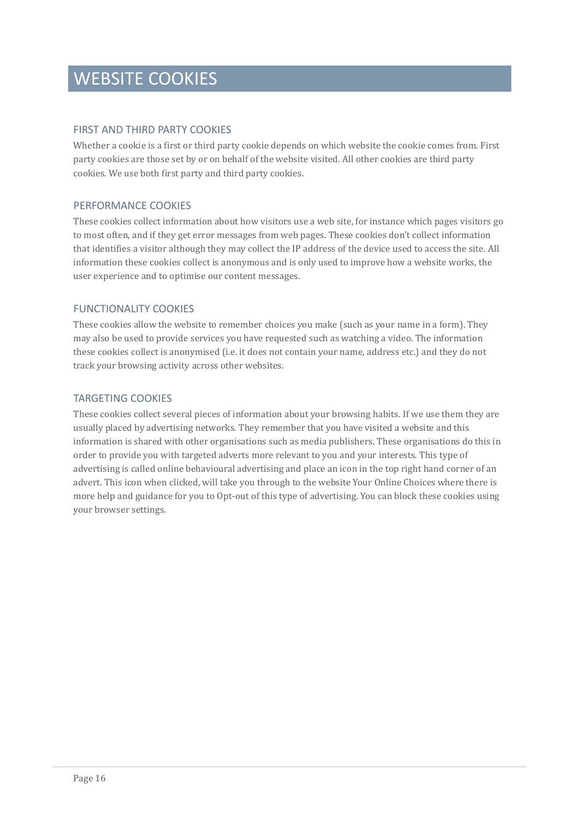### WEBSITE COOKIES

#### FIRST AND THIRD PARTY COOKIES

Whether a cookie is a first or third party cookie depends on which website the cookie comes from. First party cookies are those set by or on behalf of the website visited. All other cookies are third party cookies. We use both first party and third party cookies.

#### PERFORMANCE COOKIES

These cookies collect information about how visitors use a web site, for instance which pages visitors go to most often, and if they get error messages from web pages. These cookies don't collect information that identifies a visitor although they may collect the IP address of the device used to access the site. All information these cookies collect is anonymous and is only used to improve how a website works, the user experience and to optimise our content messages.

#### FUNCTIONALITY COOKIES

These cookies allow the website to remember choices you make (such as your name in a form). They may also be used to provide services you have requested such as watching a video. The information these cookies collect is anonymised (i.e. it does not contain your name, address etc.) and they do not track your browsing activity across other websites.

#### TARGETING COOKIES

These cookies collect several pieces of information about your browsing habits. If we use them they are usually placed by advertising networks. They remember that you have visited a website and this information is shared with other organisations such as media publishers. These organisations do this in order to provide you with targeted adverts more relevant to you and your interests. This type of advertising is called online behavioural advertising and place an icon in the top right hand corner of an advert. This icon when clicked, will take you through to the website Your Online Choices where there is more help and guidance for you to Opt-out of this type of advertising. You can block these cookies using your browser settings.